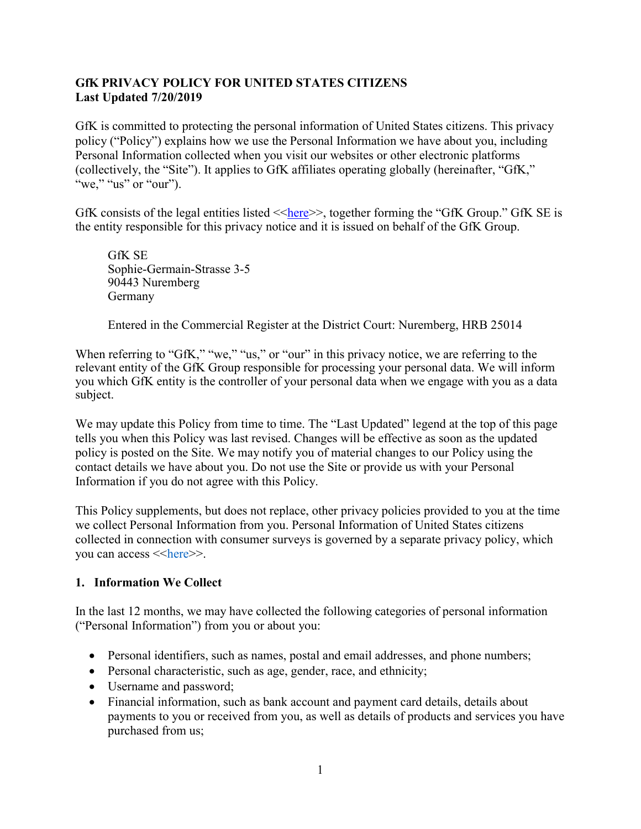# **GfK PRIVACY POLICY FOR UNITED STATES CITIZENS Last Updated 7/20/2019**

GfK is committed to protecting the personal information of United States citizens. This privacy policy ("Policy") explains how we use the Personal Information we have about you, including Personal Information collected when you visit our websites or other electronic platforms (collectively, the "Site"). It applies to GfK affiliates operating globally (hereinafter, "GfK," "we," "us" or "our").

GfK consists of the legal entities listed  $\langle$ -[here](https://www.gfk.com/en-us/entity-list) $\rangle$ , together forming the "GfK Group." GfK SE is the entity responsible for this privacy notice and it is issued on behalf of the GfK Group.

GfK SE Sophie-Germain-Strasse 3-5 90443 Nuremberg Germany

Entered in the Commercial Register at the District Court: Nuremberg, HRB 25014

When referring to "GfK," "we," "us," or "our" in this privacy notice, we are referring to the relevant entity of the GfK Group responsible for processing your personal data. We will inform you which GfK entity is the controller of your personal data when we engage with you as a data subject.

We may update this Policy from time to time. The "Last Updated" legend at the top of this page tells you when this Policy was last revised. Changes will be effective as soon as the updated policy is posted on the Site. We may notify you of material changes to our Policy using the contact details we have about you. Do not use the Site or provide us with your Personal Information if you do not agree with this Policy.

This Policy supplements, but does not replace, other privacy policies provided to you at the time we collect Personal Information from you. Personal Information of United States citizens collected in connection with consumer surveys is governed by a separate privacy policy, which you can access <<[here](https://f.hubspotusercontent20.net/hubfs/2405078/Privacy-Policy-US/GfK-US-Consumer-Survey-Privacy-Notice_July-2020.pdf)>>.

# **1. Information We Collect**

In the last 12 months, we may have collected the following categories of personal information ("Personal Information") from you or about you:

- Personal identifiers, such as names, postal and email addresses, and phone numbers;
- Personal characteristic, such as age, gender, race, and ethnicity;
- Username and password;
- Financial information, such as bank account and payment card details, details about payments to you or received from you, as well as details of products and services you have purchased from us;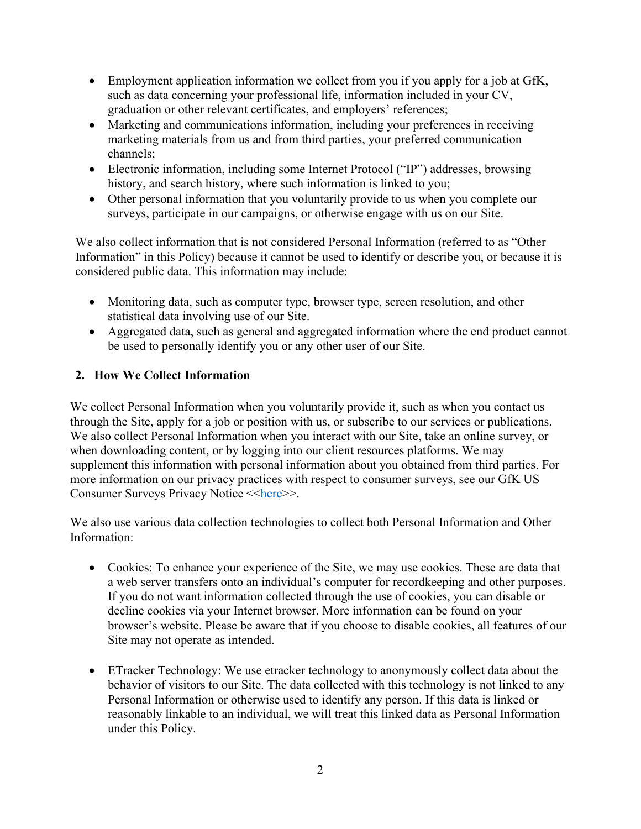- Employment application information we collect from you if you apply for a job at GfK, such as data concerning your professional life, information included in your CV, graduation or other relevant certificates, and employers' references;
- Marketing and communications information, including your preferences in receiving marketing materials from us and from third parties, your preferred communication channels;
- Electronic information, including some Internet Protocol ("IP") addresses, browsing history, and search history, where such information is linked to you;
- Other personal information that you voluntarily provide to us when you complete our surveys, participate in our campaigns, or otherwise engage with us on our Site.

We also collect information that is not considered Personal Information (referred to as "Other Information" in this Policy) because it cannot be used to identify or describe you, or because it is considered public data. This information may include:

- Monitoring data, such as computer type, browser type, screen resolution, and other statistical data involving use of our Site.
- Aggregated data, such as general and aggregated information where the end product cannot be used to personally identify you or any other user of our Site.

# **2. How We Collect Information**

We collect Personal Information when you voluntarily provide it, such as when you contact us through the Site, apply for a job or position with us, or subscribe to our services or publications. We also collect Personal Information when you interact with our Site, take an online survey, or when downloading content, or by logging into our client resources platforms. We may supplement this information with personal information about you obtained from third parties. For more information on our privacy practices with respect to consumer surveys, see our GfK US Consumer Surveys Privacy Notice <<[here>](https://f.hubspotusercontent20.net/hubfs/2405078/Privacy-Policy-US/GfK-US-Consumer-Survey-Privacy-Notice_July-2020.pdf)>.

We also use various data collection technologies to collect both Personal Information and Other Information:

- Cookies: To enhance your experience of the Site, we may use cookies. These are data that a web server transfers onto an individual's computer for recordkeeping and other purposes. If you do not want information collected through the use of cookies, you can disable or decline cookies via your Internet browser. More information can be found on your browser's website. Please be aware that if you choose to disable cookies, all features of our Site may not operate as intended.
- ETracker Technology: We use etracker technology to anonymously collect data about the behavior of visitors to our Site. The data collected with this technology is not linked to any Personal Information or otherwise used to identify any person. If this data is linked or reasonably linkable to an individual, we will treat this linked data as Personal Information under this Policy.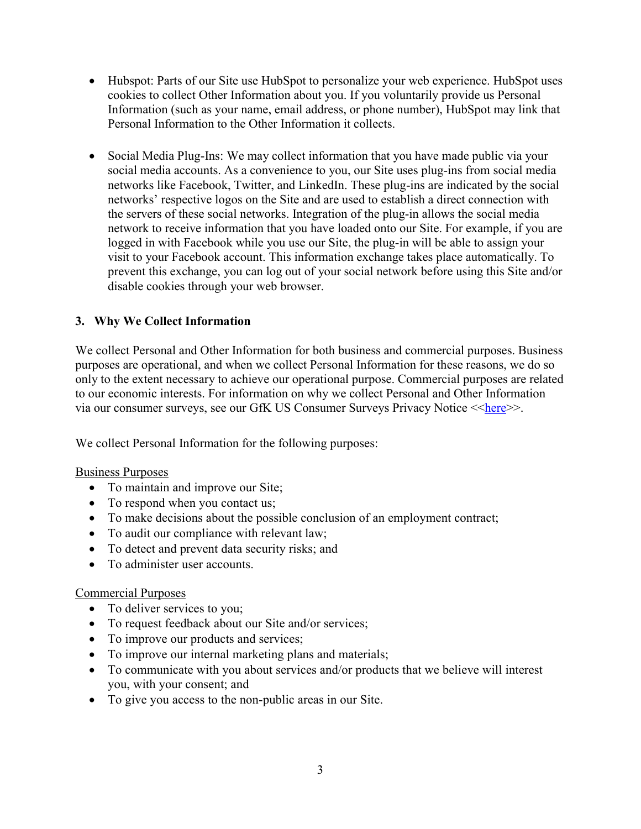- Hubspot: Parts of our Site use HubSpot to personalize your web experience. HubSpot uses cookies to collect Other Information about you. If you voluntarily provide us Personal Information (such as your name, email address, or phone number), HubSpot may link that Personal Information to the Other Information it collects.
- Social Media Plug-Ins: We may collect information that you have made public via your social media accounts. As a convenience to you, our Site uses plug-ins from social media networks like Facebook, Twitter, and LinkedIn. These plug-ins are indicated by the social networks' respective logos on the Site and are used to establish a direct connection with the servers of these social networks. Integration of the plug-in allows the social media network to receive information that you have loaded onto our Site. For example, if you are logged in with Facebook while you use our Site, the plug-in will be able to assign your visit to your Facebook account. This information exchange takes place automatically. To prevent this exchange, you can log out of your social network before using this Site and/or disable cookies through your web browser.

### **3. Why We Collect Information**

We collect Personal and Other Information for both business and commercial purposes. Business purposes are operational, and when we collect Personal Information for these reasons, we do so only to the extent necessary to achieve our operational purpose. Commercial purposes are related to our economic interests. For information on why we collect Personal and Other Information via our consumer surveys, see our GfK US Consumer Surveys Privacy Notice << here >>.

We collect Personal Information for the following purposes:

#### Business Purposes

- To maintain and improve our Site;
- To respond when you contact us;
- To make decisions about the possible conclusion of an employment contract;
- To audit our compliance with relevant law;
- To detect and prevent data security risks; and
- To administer user accounts.

#### Commercial Purposes

- To deliver services to you;
- To request feedback about our Site and/or services;
- To improve our products and services;
- To improve our internal marketing plans and materials;
- To communicate with you about services and/or products that we believe will interest you, with your consent; and
- To give you access to the non-public areas in our Site.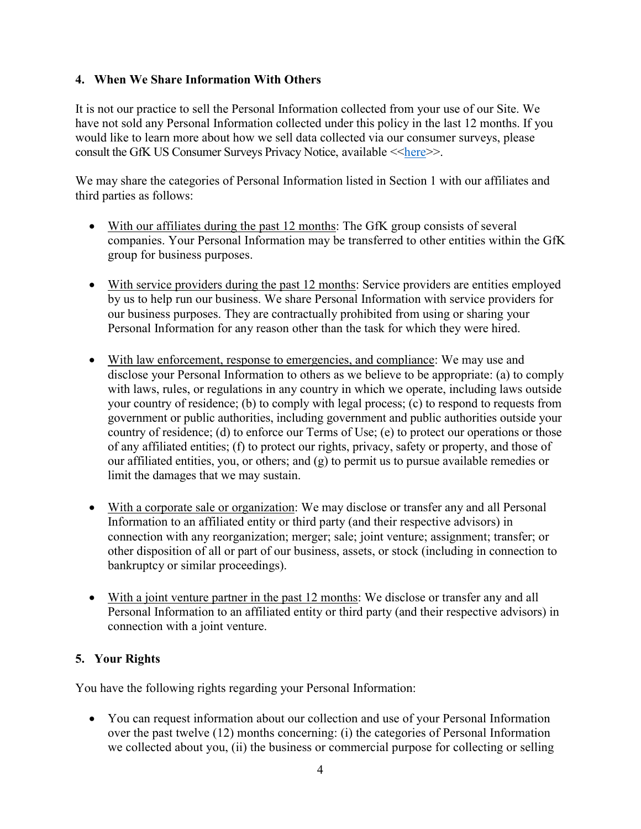## **4. When We Share Information With Others**

It is not our practice to sell the Personal Information collected from your use of our Site. We have not sold any Personal Information collected under this policy in the last 12 months. If you would like to learn more about how we sell data collected via our consumer surveys, please consult the GfK US Consumer Surveys Privacy Notice, available  $\leq$ here $\geq$ .

We may share the categories of Personal Information listed in Section 1 with our affiliates and third parties as follows:

- With our affiliates during the past 12 months: The GfK group consists of several companies. Your Personal Information may be transferred to other entities within the GfK group for business purposes.
- With service providers during the past 12 months: Service providers are entities employed by us to help run our business. We share Personal Information with service providers for our business purposes. They are contractually prohibited from using or sharing your Personal Information for any reason other than the task for which they were hired.
- With law enforcement, response to emergencies, and compliance: We may use and disclose your Personal Information to others as we believe to be appropriate: (a) to comply with laws, rules, or regulations in any country in which we operate, including laws outside your country of residence; (b) to comply with legal process; (c) to respond to requests from government or public authorities, including government and public authorities outside your country of residence; (d) to enforce our Terms of Use; (e) to protect our operations or those of any affiliated entities; (f) to protect our rights, privacy, safety or property, and those of our affiliated entities, you, or others; and (g) to permit us to pursue available remedies or limit the damages that we may sustain.
- With a corporate sale or organization: We may disclose or transfer any and all Personal Information to an affiliated entity or third party (and their respective advisors) in connection with any reorganization; merger; sale; joint venture; assignment; transfer; or other disposition of all or part of our business, assets, or stock (including in connection to bankruptcy or similar proceedings).
- With a joint venture partner in the past 12 months: We disclose or transfer any and all Personal Information to an affiliated entity or third party (and their respective advisors) in connection with a joint venture.

# **5. Your Rights**

You have the following rights regarding your Personal Information:

 You can request information about our collection and use of your Personal Information over the past twelve (12) months concerning: (i) the categories of Personal Information we collected about you, (ii) the business or commercial purpose for collecting or selling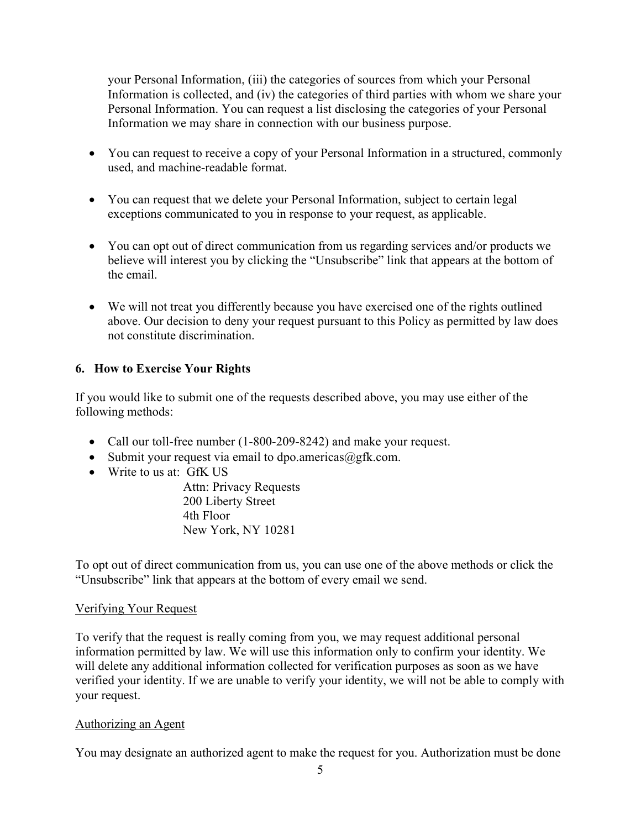your Personal Information, (iii) the categories of sources from which your Personal Information is collected, and (iv) the categories of third parties with whom we share your Personal Information. You can request a list disclosing the categories of your Personal Information we may share in connection with our business purpose.

- You can request to receive a copy of your Personal Information in a structured, commonly used, and machine-readable format.
- You can request that we delete your Personal Information, subject to certain legal exceptions communicated to you in response to your request, as applicable.
- You can opt out of direct communication from us regarding services and/or products we believe will interest you by clicking the "Unsubscribe" link that appears at the bottom of the email.
- We will not treat you differently because you have exercised one of the rights outlined above. Our decision to deny your request pursuant to this Policy as permitted by law does not constitute discrimination.

# **6. How to Exercise Your Rights**

If you would like to submit one of the requests described above, you may use either of the following methods:

- Call our toll-free number (1-800-209-8242) and make your request.
- Submit your request via email to dpo.americas $@g$ fk.com.
- Write to us at: GfK US

Attn: Privacy Requests 200 Liberty Street 4th Floor New York, NY 10281

To opt out of direct communication from us, you can use one of the above methods or click the "Unsubscribe" link that appears at the bottom of every email we send.

### Verifying Your Request

To verify that the request is really coming from you, we may request additional personal information permitted by law. We will use this information only to confirm your identity. We will delete any additional information collected for verification purposes as soon as we have verified your identity. If we are unable to verify your identity, we will not be able to comply with your request.

### Authorizing an Agent

You may designate an authorized agent to make the request for you. Authorization must be done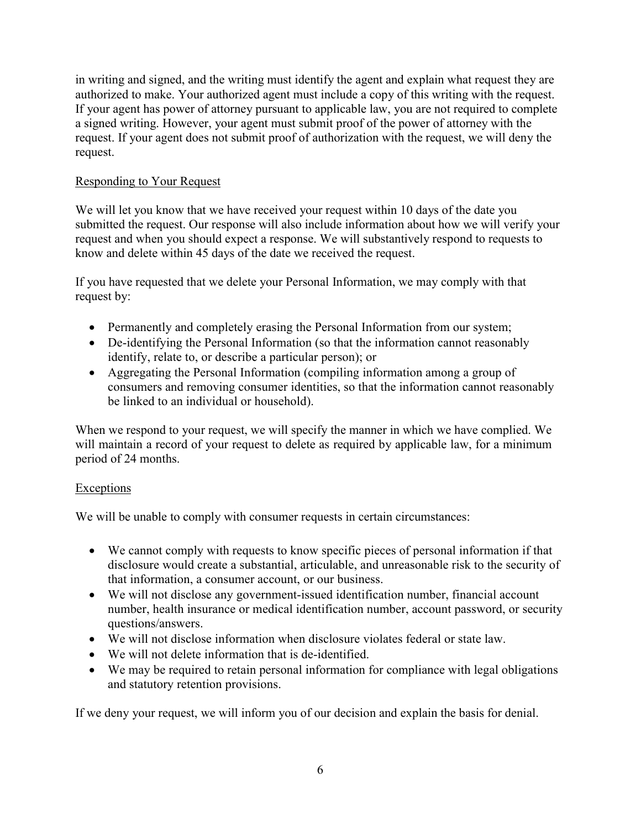in writing and signed, and the writing must identify the agent and explain what request they are authorized to make. Your authorized agent must include a copy of this writing with the request. If your agent has power of attorney pursuant to applicable law, you are not required to complete a signed writing. However, your agent must submit proof of the power of attorney with the request. If your agent does not submit proof of authorization with the request, we will deny the request.

### Responding to Your Request

We will let you know that we have received your request within 10 days of the date you submitted the request. Our response will also include information about how we will verify your request and when you should expect a response. We will substantively respond to requests to know and delete within 45 days of the date we received the request.

If you have requested that we delete your Personal Information, we may comply with that request by:

- Permanently and completely erasing the Personal Information from our system;
- De-identifying the Personal Information (so that the information cannot reasonably identify, relate to, or describe a particular person); or
- Aggregating the Personal Information (compiling information among a group of consumers and removing consumer identities, so that the information cannot reasonably be linked to an individual or household).

When we respond to your request, we will specify the manner in which we have complied. We will maintain a record of your request to delete as required by applicable law, for a minimum period of 24 months.

### **Exceptions**

We will be unable to comply with consumer requests in certain circumstances:

- We cannot comply with requests to know specific pieces of personal information if that disclosure would create a substantial, articulable, and unreasonable risk to the security of that information, a consumer account, or our business.
- We will not disclose any government-issued identification number, financial account number, health insurance or medical identification number, account password, or security questions/answers.
- We will not disclose information when disclosure violates federal or state law.
- We will not delete information that is de-identified.
- We may be required to retain personal information for compliance with legal obligations and statutory retention provisions.

If we deny your request, we will inform you of our decision and explain the basis for denial.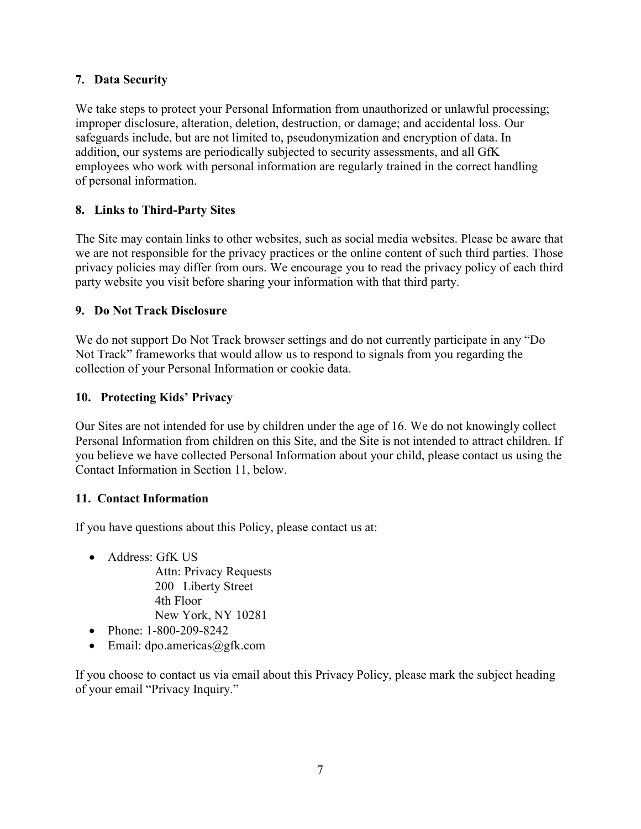# **7. Data Security**

We take steps to protect your Personal Information from unauthorized or unlawful processing; improper disclosure, alteration, deletion, destruction, or damage; and accidental loss. Our safeguards include, but are not limited to, pseudonymization and encryption of data. In addition, our systems are periodically subjected to security assessments, and all GfK employees who work with personal information are regularly trained in the correct handling of personal information.

# **8. Links to Third-Party Sites**

The Site may contain links to other websites, such as social media websites. Please be aware that we are not responsible for the privacy practices or the online content of such third parties. Those privacy policies may differ from ours. We encourage you to read the privacy policy of each third party website you visit before sharing your information with that third party.

# **9. Do Not Track Disclosure**

We do not support Do Not Track browser settings and do not currently participate in any "Do Not Track" frameworks that would allow us to respond to signals from you regarding the collection of your Personal Information or cookie data.

# **10. Protecting Kids' Privacy**

Our Sites are not intended for use by children under the age of 16. We do not knowingly collect Personal Information from children on this Site, and the Site is not intended to attract children. If you believe we have collected Personal Information about your child, please contact us using the Contact Information in Section 11, below.

# **11. Contact Information**

If you have questions about this Policy, please contact us at:

• Address: GfK US

Attn: Privacy Requests 200 Liberty Street 4th Floor New York, NY 10281

- Phone: 1-800-209-8242
- $\bullet$  Email: dpo.americas@gfk.com

If you choose to contact us via email about this Privacy Policy, please mark the subject heading of your email "Privacy Inquiry."